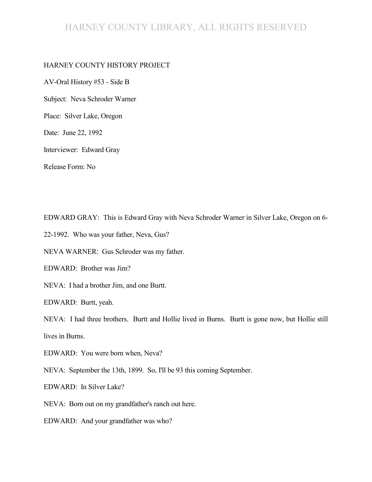# HARNEY COUNTY LIBRARY, ALL RIGHTS RESERVED

#### HARNEY COUNTY HISTORY PROJECT

AV-Oral History #53 - Side B Subject: Neva Schroder Warner

Place: Silver Lake, Oregon

Date: June 22, 1992

Interviewer: Edward Gray

Release Form: No

EDWARD GRAY: This is Edward Gray with Neva Schroder Warner in Silver Lake, Oregon on 6-

22-1992. Who was your father, Neva, Gus?

NEVA WARNER: Gus Schroder was my father.

EDWARD: Brother was Jim?

NEVA: I had a brother Jim, and one Burtt.

EDWARD: Burtt, yeah.

NEVA: I had three brothers. Burtt and Hollie lived in Burns. Burtt is gone now, but Hollie still lives in Burns.

EDWARD: You were born when, Neva?

NEVA: September the 13th, 1899. So, I'll be 93 this coming September.

EDWARD: In Silver Lake?

NEVA: Born out on my grandfather's ranch out here.

EDWARD: And your grandfather was who?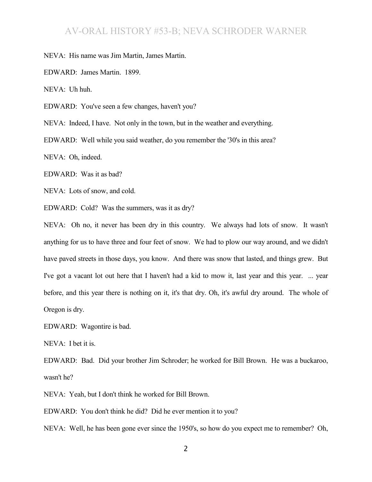NEVA: His name was Jim Martin, James Martin.

EDWARD: James Martin. 1899.

NEVA: Uh huh.

EDWARD: You've seen a few changes, haven't you?

NEVA: Indeed, I have. Not only in the town, but in the weather and everything.

EDWARD: Well while you said weather, do you remember the '30's in this area?

NEVA: Oh, indeed.

EDWARD: Was it as bad?

NEVA: Lots of snow, and cold.

EDWARD: Cold? Was the summers, was it as dry?

NEVA: Oh no, it never has been dry in this country. We always had lots of snow. It wasn't anything for us to have three and four feet of snow. We had to plow our way around, and we didn't have paved streets in those days, you know. And there was snow that lasted, and things grew. But I've got a vacant lot out here that I haven't had a kid to mow it, last year and this year. ... year before, and this year there is nothing on it, it's that dry. Oh, it's awful dry around. The whole of Oregon is dry.

EDWARD: Wagontire is bad.

NEVA: I bet it is.

EDWARD: Bad. Did your brother Jim Schroder; he worked for Bill Brown. He was a buckaroo, wasn't he?

NEVA: Yeah, but I don't think he worked for Bill Brown.

EDWARD: You don't think he did? Did he ever mention it to you?

NEVA: Well, he has been gone ever since the 1950's, so how do you expect me to remember? Oh,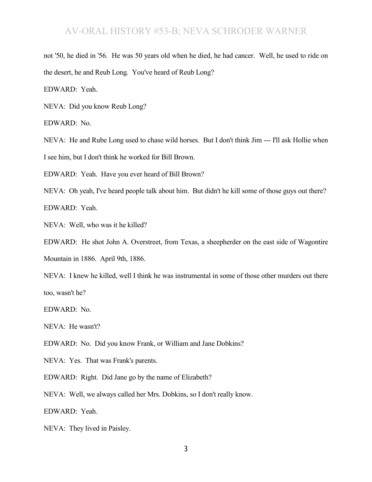not '50, he died in '56. He was 50 years old when he died, he had cancer. Well, he used to ride on the desert, he and Reub Long. You've heard of Reub Long?

EDWARD: Yeah.

NEVA: Did you know Reub Long?

EDWARD: No.

NEVA: He and Rube Long used to chase wild horses. But I don't think Jim --- I'll ask Hollie when I see him, but I don't think he worked for Bill Brown.

EDWARD: Yeah. Have you ever heard of Bill Brown?

NEVA: Oh yeah, I've heard people talk about him. But didn't he kill some of those guys out there? EDWARD: Yeah.

NEVA: Well, who was it he killed?

EDWARD: He shot John A. Overstreet, from Texas, a sheepherder on the east side of Wagontire

Mountain in 1886. April 9th, 1886.

NEVA: I knew he killed, well I think he was instrumental in some of those other murders out there too, wasn't he?

EDWARD: No.

NEVA: He wasn't?

EDWARD: No. Did you know Frank, or William and Jane Dobkins?

NEVA: Yes. That was Frank's parents.

EDWARD: Right. Did Jane go by the name of Elizabeth?

NEVA: Well, we always called her Mrs. Dobkins, so I don't really know.

EDWARD: Yeah.

NEVA: They lived in Paisley.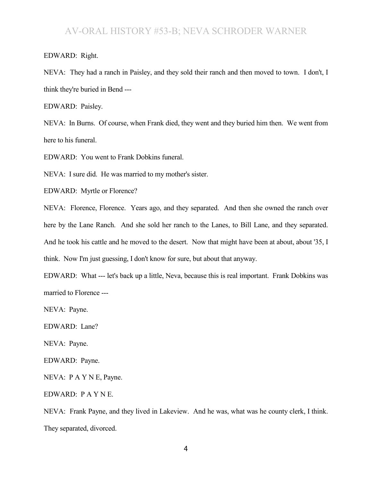EDWARD: Right.

NEVA: They had a ranch in Paisley, and they sold their ranch and then moved to town. I don't, I think they're buried in Bend ---

EDWARD: Paisley.

NEVA: In Burns. Of course, when Frank died, they went and they buried him then. We went from here to his funeral.

EDWARD: You went to Frank Dobkins funeral.

NEVA: I sure did. He was married to my mother's sister.

EDWARD: Myrtle or Florence?

NEVA: Florence, Florence. Years ago, and they separated. And then she owned the ranch over here by the Lane Ranch. And she sold her ranch to the Lanes, to Bill Lane, and they separated. And he took his cattle and he moved to the desert. Now that might have been at about, about '35, I think. Now I'm just guessing, I don't know for sure, but about that anyway.

EDWARD: What --- let's back up a little, Neva, because this is real important. Frank Dobkins was married to Florence ---

NEVA: Payne.

EDWARD: Lane?

NEVA: Payne.

EDWARD: Payne.

NEVA: P A Y N E, Payne.

EDWARD: P A Y N E.

NEVA: Frank Payne, and they lived in Lakeview. And he was, what was he county clerk, I think. They separated, divorced.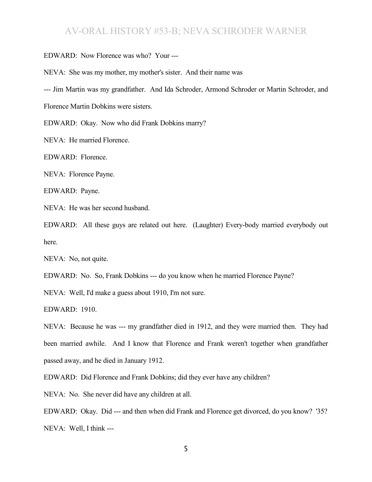EDWARD: Now Florence was who? Your ---

NEVA: She was my mother, my mother's sister. And their name was

--- Jim Martin was my grandfather. And Ida Schroder, Armond Schroder or Martin Schroder, and

Florence Martin Dobkins were sisters.

EDWARD: Okay. Now who did Frank Dobkins marry?

NEVA: He married Florence.

EDWARD: Florence.

NEVA: Florence Payne.

EDWARD: Payne.

NEVA: He was her second husband.

EDWARD: All these guys are related out here. (Laughter) Every-body married everybody out here.

NEVA: No, not quite.

EDWARD: No. So, Frank Dobkins --- do you know when he married Florence Payne?

NEVA: Well, I'd make a guess about 1910, I'm not sure.

EDWARD: 1910.

NEVA: Because he was --- my grandfather died in 1912, and they were married then. They had been married awhile. And I know that Florence and Frank weren't together when grandfather passed away, and he died in January 1912.

EDWARD: Did Florence and Frank Dobkins; did they ever have any children?

NEVA: No. She never did have any children at all.

EDWARD: Okay. Did --- and then when did Frank and Florence get divorced, do you know? '35? NEVA: Well, I think ---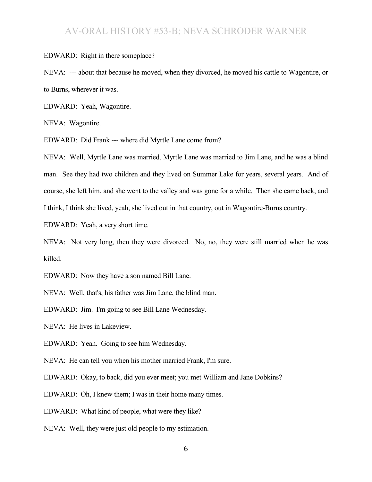EDWARD: Right in there someplace?

NEVA: --- about that because he moved, when they divorced, he moved his cattle to Wagontire, or to Burns, wherever it was.

EDWARD: Yeah, Wagontire.

NEVA: Wagontire.

EDWARD: Did Frank --- where did Myrtle Lane come from?

NEVA: Well, Myrtle Lane was married, Myrtle Lane was married to Jim Lane, and he was a blind man. See they had two children and they lived on Summer Lake for years, several years. And of course, she left him, and she went to the valley and was gone for a while. Then she came back, and I think, I think she lived, yeah, she lived out in that country, out in Wagontire-Burns country.

EDWARD: Yeah, a very short time.

NEVA: Not very long, then they were divorced. No, no, they were still married when he was killed.

EDWARD: Now they have a son named Bill Lane.

NEVA: Well, that's, his father was Jim Lane, the blind man.

EDWARD: Jim. I'm going to see Bill Lane Wednesday.

NEVA: He lives in Lakeview.

EDWARD: Yeah. Going to see him Wednesday.

NEVA: He can tell you when his mother married Frank, I'm sure.

EDWARD: Okay, to back, did you ever meet; you met William and Jane Dobkins?

EDWARD: Oh, I knew them; I was in their home many times.

EDWARD: What kind of people, what were they like?

NEVA: Well, they were just old people to my estimation.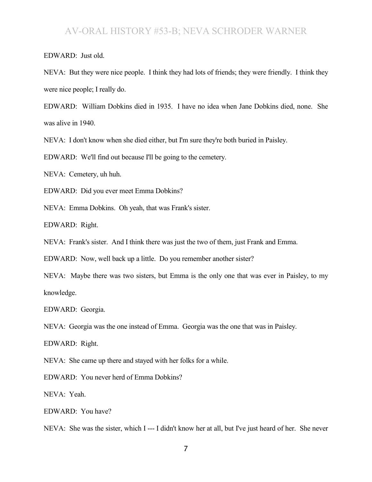EDWARD: Just old.

NEVA: But they were nice people. I think they had lots of friends; they were friendly. I think they were nice people; I really do.

EDWARD: William Dobkins died in 1935. I have no idea when Jane Dobkins died, none. She was alive in 1940.

NEVA: I don't know when she died either, but I'm sure they're both buried in Paisley.

EDWARD: We'll find out because I'll be going to the cemetery.

NEVA: Cemetery, uh huh.

EDWARD: Did you ever meet Emma Dobkins?

NEVA: Emma Dobkins. Oh yeah, that was Frank's sister.

EDWARD: Right.

NEVA: Frank's sister. And I think there was just the two of them, just Frank and Emma.

EDWARD: Now, well back up a little. Do you remember another sister?

NEVA: Maybe there was two sisters, but Emma is the only one that was ever in Paisley, to my knowledge.

EDWARD: Georgia.

NEVA: Georgia was the one instead of Emma. Georgia was the one that was in Paisley.

EDWARD: Right.

NEVA: She came up there and stayed with her folks for a while.

EDWARD: You never herd of Emma Dobkins?

NEVA: Yeah.

EDWARD: You have?

NEVA: She was the sister, which I --- I didn't know her at all, but I've just heard of her. She never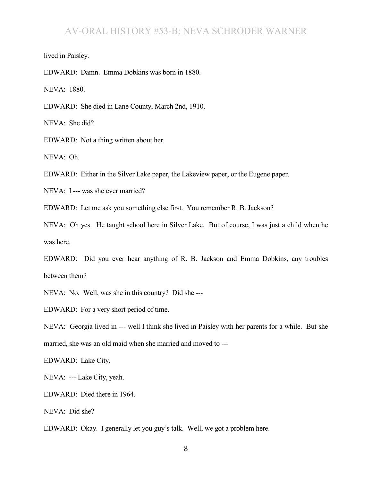lived in Paisley.

EDWARD: Damn. Emma Dobkins was born in 1880.

NEVA: 1880.

EDWARD: She died in Lane County, March 2nd, 1910.

NEVA: She did?

EDWARD: Not a thing written about her.

NEVA: Oh.

EDWARD: Either in the Silver Lake paper, the Lakeview paper, or the Eugene paper.

NEVA: I --- was she ever married?

EDWARD: Let me ask you something else first. You remember R. B. Jackson?

NEVA: Oh yes. He taught school here in Silver Lake. But of course, I was just a child when he was here.

EDWARD: Did you ever hear anything of R. B. Jackson and Emma Dobkins, any troubles between them?

NEVA: No. Well, was she in this country? Did she ---

EDWARD: For a very short period of time.

NEVA: Georgia lived in --- well I think she lived in Paisley with her parents for a while. But she married, she was an old maid when she married and moved to ---

EDWARD: Lake City.

NEVA: --- Lake City, yeah.

EDWARD: Died there in 1964.

NEVA: Did she?

EDWARD: Okay. I generally let you guy's talk. Well, we got a problem here.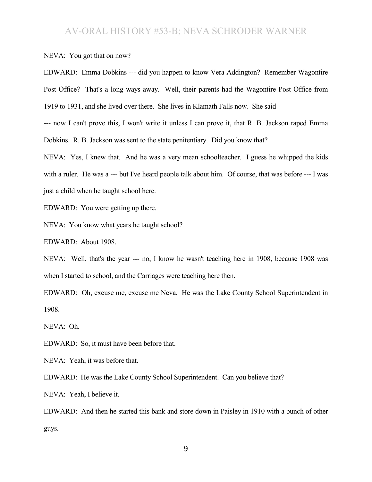NEVA: You got that on now?

EDWARD: Emma Dobkins --- did you happen to know Vera Addington? Remember Wagontire Post Office? That's a long ways away. Well, their parents had the Wagontire Post Office from 1919 to 1931, and she lived over there. She lives in Klamath Falls now. She said

--- now I can't prove this, I won't write it unless I can prove it, that R. B. Jackson raped Emma Dobkins. R. B. Jackson was sent to the state penitentiary. Did you know that?

NEVA: Yes, I knew that. And he was a very mean schoolteacher. I guess he whipped the kids with a ruler. He was a --- but I've heard people talk about him. Of course, that was before --- I was just a child when he taught school here.

EDWARD: You were getting up there.

NEVA: You know what years he taught school?

EDWARD: About 1908.

NEVA: Well, that's the year --- no, I know he wasn't teaching here in 1908, because 1908 was when I started to school, and the Carriages were teaching here then.

EDWARD: Oh, excuse me, excuse me Neva. He was the Lake County School Superintendent in 1908.

NEVA: Oh.

EDWARD: So, it must have been before that.

NEVA: Yeah, it was before that.

EDWARD: He was the Lake County School Superintendent. Can you believe that?

NEVA: Yeah, I believe it.

EDWARD: And then he started this bank and store down in Paisley in 1910 with a bunch of other guys.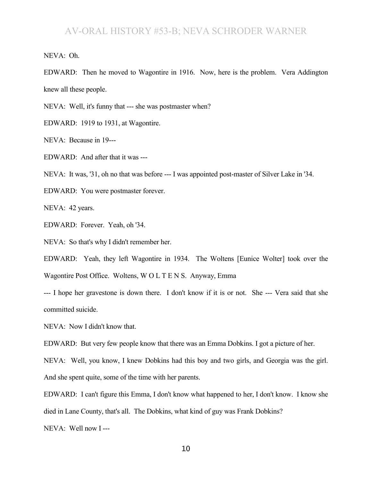NEVA: Oh.

EDWARD: Then he moved to Wagontire in 1916. Now, here is the problem. Vera Addington knew all these people.

NEVA: Well, it's funny that --- she was postmaster when?

EDWARD: 1919 to 1931, at Wagontire.

NEVA: Because in 19---

EDWARD: And after that it was ---

NEVA: It was, '31, oh no that was before --- I was appointed post-master of Silver Lake in '34.

EDWARD: You were postmaster forever.

NEVA: 42 years.

EDWARD: Forever. Yeah, oh '34.

NEVA: So that's why I didn't remember her.

EDWARD: Yeah, they left Wagontire in 1934. The Woltens [Eunice Wolter] took over the Wagontire Post Office. Woltens, W O L T E N S. Anyway, Emma

--- I hope her gravestone is down there. I don't know if it is or not. She --- Vera said that she committed suicide.

NEVA: Now I didn't know that.

EDWARD: But very few people know that there was an Emma Dobkins. I got a picture of her.

NEVA: Well, you know, I knew Dobkins had this boy and two girls, and Georgia was the girl.

And she spent quite, some of the time with her parents.

EDWARD: I can't figure this Emma, I don't know what happened to her, I don't know. I know she died in Lane County, that's all. The Dobkins, what kind of guy was Frank Dobkins?

NEVA: Well now I ---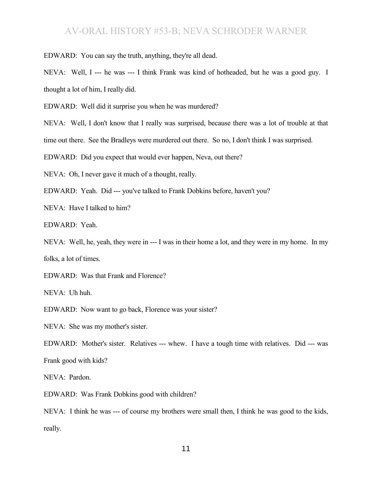EDWARD: You can say the truth, anything, they're all dead.

NEVA: Well, I --- he was --- I think Frank was kind of hotheaded, but he was a good guy. I thought a lot of him, I really did.

EDWARD: Well did it surprise you when he was murdered?

NEVA: Well, I don't know that I really was surprised, because there was a lot of trouble at that

time out there. See the Bradleys were murdered out there. So no, I don't think I was surprised.

EDWARD: Did you expect that would ever happen, Neva, out there?

NEVA: Oh, I never gave it much of a thought, really.

EDWARD: Yeah. Did --- you've talked to Frank Dobkins before, haven't you?

NEVA: Have I talked to him?

EDWARD: Yeah.

NEVA: Well, he, yeah, they were in --- I was in their home a lot, and they were in my home. In my folks, a lot of times.

EDWARD: Was that Frank and Florence?

NEVA: Uh huh.

EDWARD: Now want to go back, Florence was your sister?

NEVA: She was my mother's sister.

EDWARD: Mother's sister. Relatives --- whew. I have a tough time with relatives. Did --- was Frank good with kids?

NEVA: Pardon.

EDWARD: Was Frank Dobkins good with children?

NEVA: I think he was --- of course my brothers were small then, I think he was good to the kids, really.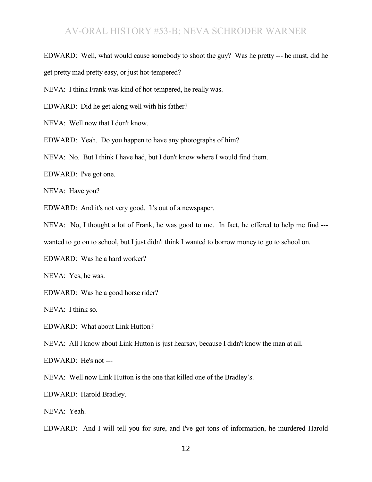EDWARD: Well, what would cause somebody to shoot the guy? Was he pretty --- he must, did he

get pretty mad pretty easy, or just hot-tempered?

NEVA: I think Frank was kind of hot-tempered, he really was.

EDWARD: Did he get along well with his father?

NEVA: Well now that I don't know.

EDWARD: Yeah. Do you happen to have any photographs of him?

NEVA: No. But I think I have had, but I don't know where I would find them.

EDWARD: I've got one.

NEVA: Have you?

EDWARD: And it's not very good. It's out of a newspaper.

NEVA: No, I thought a lot of Frank, he was good to me. In fact, he offered to help me find ---

wanted to go on to school, but I just didn't think I wanted to borrow money to go to school on.

EDWARD: Was he a hard worker?

NEVA: Yes, he was.

EDWARD: Was he a good horse rider?

NEVA: I think so.

EDWARD: What about Link Hutton?

NEVA: All I know about Link Hutton is just hearsay, because I didn't know the man at all.

EDWARD: He's not ---

NEVA: Well now Link Hutton is the one that killed one of the Bradley's.

EDWARD: Harold Bradley.

NEVA: Yeah.

EDWARD: And I will tell you for sure, and I've got tons of information, he murdered Harold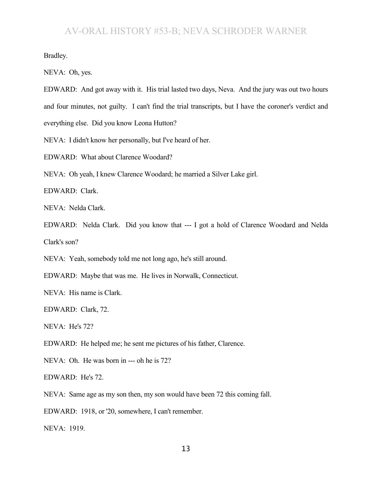Bradley.

NEVA: Oh, yes.

EDWARD: And got away with it. His trial lasted two days, Neva. And the jury was out two hours and four minutes, not guilty. I can't find the trial transcripts, but I have the coroner's verdict and everything else. Did you know Leona Hutton?

NEVA: I didn't know her personally, but I've heard of her.

EDWARD: What about Clarence Woodard?

NEVA: Oh yeah, I knew Clarence Woodard; he married a Silver Lake girl.

EDWARD: Clark.

NEVA: Nelda Clark.

EDWARD: Nelda Clark. Did you know that --- I got a hold of Clarence Woodard and Nelda Clark's son?

NEVA: Yeah, somebody told me not long ago, he's still around.

EDWARD: Maybe that was me. He lives in Norwalk, Connecticut.

NEVA: His name is Clark.

EDWARD: Clark, 72.

NEVA: He's 72?

EDWARD: He helped me; he sent me pictures of his father, Clarence.

NEVA: Oh. He was born in --- oh he is 72?

EDWARD: He's 72.

NEVA: Same age as my son then, my son would have been 72 this coming fall.

EDWARD: 1918, or '20, somewhere, I can't remember.

NEVA: 1919.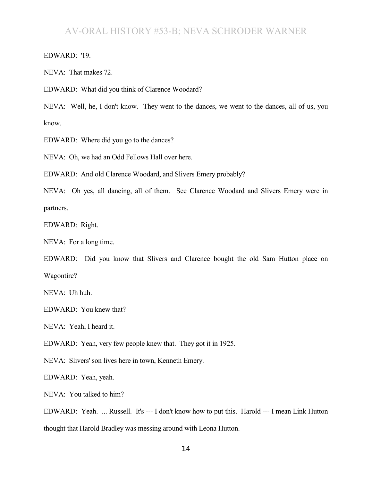EDWARD: '19.

NEVA: That makes 72.

EDWARD: What did you think of Clarence Woodard?

NEVA: Well, he, I don't know. They went to the dances, we went to the dances, all of us, you know.

EDWARD: Where did you go to the dances?

NEVA: Oh, we had an Odd Fellows Hall over here.

EDWARD: And old Clarence Woodard, and Slivers Emery probably?

NEVA: Oh yes, all dancing, all of them. See Clarence Woodard and Slivers Emery were in partners.

EDWARD: Right.

NEVA: For a long time.

EDWARD: Did you know that Slivers and Clarence bought the old Sam Hutton place on Wagontire?

NEVA: Uh huh.

EDWARD: You knew that?

NEVA: Yeah, I heard it.

EDWARD: Yeah, very few people knew that. They got it in 1925.

NEVA: Slivers' son lives here in town, Kenneth Emery.

EDWARD: Yeah, yeah.

NEVA: You talked to him?

EDWARD: Yeah. ... Russell. It's --- I don't know how to put this. Harold --- I mean Link Hutton thought that Harold Bradley was messing around with Leona Hutton.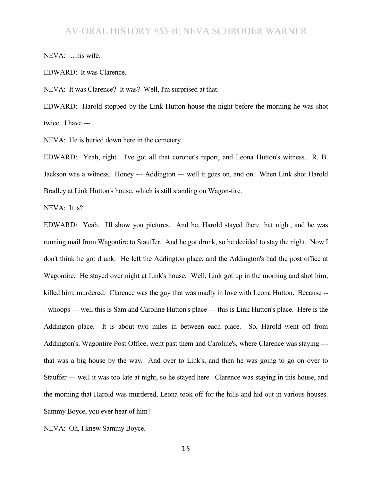NEVA: ... his wife.

EDWARD: It was Clarence.

NEVA: It was Clarence? It was? Well, I'm surprised at that.

EDWARD: Harold stopped by the Link Hutton house the night before the morning he was shot twice. I have ---

NEVA: He is buried down here in the cemetery.

EDWARD: Yeah, right. I've got all that coroner's report, and Leona Hutton's witness. R. B. Jackson was a witness. Honey --- Addington --- well it goes on, and on. When Link shot Harold Bradley at Link Hutton's house, which is still standing on Wagon-tire.

NEVA: It is?

EDWARD: Yeah. I'll show you pictures. And he, Harold stayed there that night, and he was running mail from Wagontire to Stauffer. And he got drunk, so he decided to stay the night. Now I don't think he got drunk. He left the Addington place, and the Addington's had the post office at Wagontire. He stayed over night at Link's house. Well, Link got up in the morning and shot him, killed him, murdered. Clarence was the guy that was madly in love with Leona Hutton. Because -- - whoops --- well this is Sam and Caroline Hutton's place --- this is Link Hutton's place. Here is the Addington place. It is about two miles in between each place. So, Harold went off from Addington's, Wagontire Post Office, went past them and Caroline's, where Clarence was staying -- that was a big house by the way. And over to Link's, and then he was going to go on over to Stauffer --- well it was too late at night, so he stayed here. Clarence was staying in this house, and the morning that Harold was murdered, Leona took off for the hills and hid out in various houses. Sammy Boyce, you ever hear of him?

NEVA: Oh, I knew Sammy Boyce.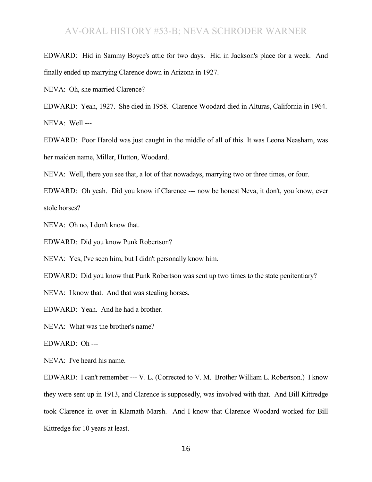EDWARD: Hid in Sammy Boyce's attic for two days. Hid in Jackson's place for a week. And finally ended up marrying Clarence down in Arizona in 1927.

NEVA: Oh, she married Clarence?

EDWARD: Yeah, 1927. She died in 1958. Clarence Woodard died in Alturas, California in 1964. NEVA: Well ---

EDWARD: Poor Harold was just caught in the middle of all of this. It was Leona Neasham, was her maiden name, Miller, Hutton, Woodard.

NEVA: Well, there you see that, a lot of that nowadays, marrying two or three times, or four.

EDWARD: Oh yeah. Did you know if Clarence --- now be honest Neva, it don't, you know, ever stole horses?

NEVA: Oh no, I don't know that.

EDWARD: Did you know Punk Robertson?

NEVA: Yes, I've seen him, but I didn't personally know him.

EDWARD: Did you know that Punk Robertson was sent up two times to the state penitentiary?

NEVA: I know that. And that was stealing horses.

EDWARD: Yeah. And he had a brother.

NEVA: What was the brother's name?

EDWARD: Oh ---

NEVA: I've heard his name.

EDWARD: I can't remember --- V. L. (Corrected to V. M. Brother William L. Robertson.) I know they were sent up in 1913, and Clarence is supposedly, was involved with that. And Bill Kittredge took Clarence in over in Klamath Marsh. And I know that Clarence Woodard worked for Bill Kittredge for 10 years at least.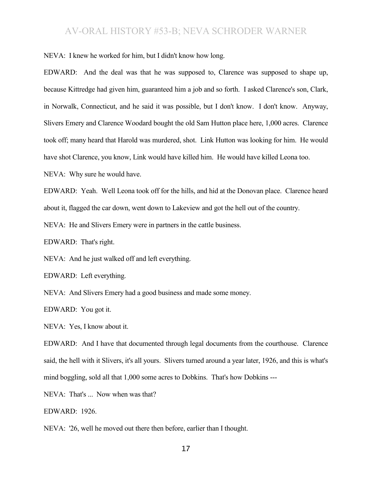NEVA: I knew he worked for him, but I didn't know how long.

EDWARD: And the deal was that he was supposed to, Clarence was supposed to shape up, because Kittredge had given him, guaranteed him a job and so forth. I asked Clarence's son, Clark, in Norwalk, Connecticut, and he said it was possible, but I don't know. I don't know. Anyway, Slivers Emery and Clarence Woodard bought the old Sam Hutton place here, 1,000 acres. Clarence took off; many heard that Harold was murdered, shot. Link Hutton was looking for him. He would have shot Clarence, you know, Link would have killed him. He would have killed Leona too.

NEVA: Why sure he would have.

EDWARD: Yeah. Well Leona took off for the hills, and hid at the Donovan place. Clarence heard about it, flagged the car down, went down to Lakeview and got the hell out of the country.

NEVA: He and Slivers Emery were in partners in the cattle business.

EDWARD: That's right.

NEVA: And he just walked off and left everything.

EDWARD: Left everything.

NEVA: And Slivers Emery had a good business and made some money.

EDWARD: You got it.

NEVA: Yes, I know about it.

EDWARD: And I have that documented through legal documents from the courthouse. Clarence said, the hell with it Slivers, it's all yours. Slivers turned around a year later, 1926, and this is what's mind boggling, sold all that 1,000 some acres to Dobkins. That's how Dobkins ---

NEVA: That's ... Now when was that?

EDWARD: 1926.

NEVA: '26, well he moved out there then before, earlier than I thought.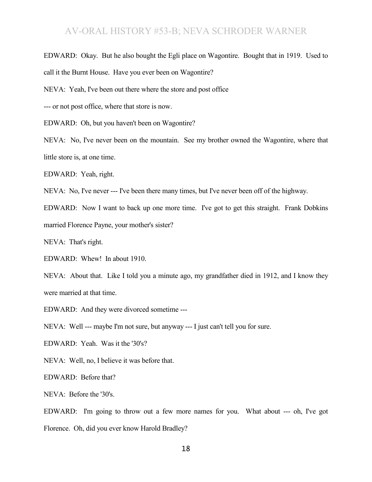EDWARD: Okay. But he also bought the Egli place on Wagontire. Bought that in 1919. Used to call it the Burnt House. Have you ever been on Wagontire?

NEVA: Yeah, I've been out there where the store and post office

--- or not post office, where that store is now.

EDWARD: Oh, but you haven't been on Wagontire?

NEVA: No, I've never been on the mountain. See my brother owned the Wagontire, where that little store is, at one time.

EDWARD: Yeah, right.

NEVA: No, I've never --- I've been there many times, but I've never been off of the highway.

EDWARD: Now I want to back up one more time. I've got to get this straight. Frank Dobkins married Florence Payne, your mother's sister?

NEVA: That's right.

EDWARD: Whew! In about 1910.

NEVA: About that. Like I told you a minute ago, my grandfather died in 1912, and I know they were married at that time.

EDWARD: And they were divorced sometime ---

NEVA: Well --- maybe I'm not sure, but anyway --- I just can't tell you for sure.

EDWARD: Yeah. Was it the '30's?

NEVA: Well, no, I believe it was before that.

EDWARD: Before that?

NEVA: Before the '30's.

EDWARD: I'm going to throw out a few more names for you. What about --- oh, I've got Florence. Oh, did you ever know Harold Bradley?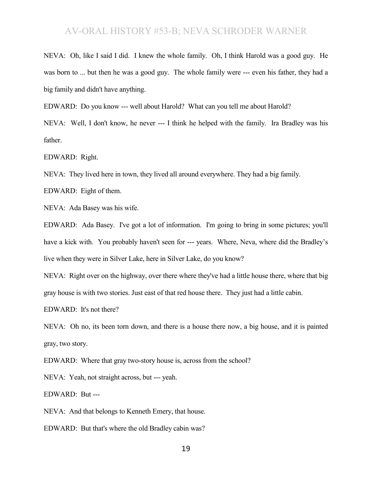NEVA: Oh, like I said I did. I knew the whole family. Oh, I think Harold was a good guy. He was born to ... but then he was a good guy. The whole family were --- even his father, they had a big family and didn't have anything.

EDWARD: Do you know --- well about Harold? What can you tell me about Harold?

NEVA: Well, I don't know, he never --- I think he helped with the family. Ira Bradley was his father.

EDWARD: Right.

NEVA: They lived here in town, they lived all around everywhere. They had a big family.

EDWARD: Eight of them.

NEVA: Ada Basey was his wife.

EDWARD: Ada Basey. I've got a lot of information. I'm going to bring in some pictures; you'll have a kick with. You probably haven't seen for --- years. Where, Neva, where did the Bradley's live when they were in Silver Lake, here in Silver Lake, do you know?

NEVA: Right over on the highway, over there where they've had a little house there, where that big gray house is with two stories. Just east of that red house there. They just had a little cabin.

EDWARD: It's not there?

NEVA: Oh no, its been torn down, and there is a house there now, a big house, and it is painted gray, two story.

EDWARD: Where that gray two-story house is, across from the school?

NEVA: Yeah, not straight across, but --- yeah.

EDWARD: But ---

NEVA: And that belongs to Kenneth Emery, that house.

EDWARD: But that's where the old Bradley cabin was?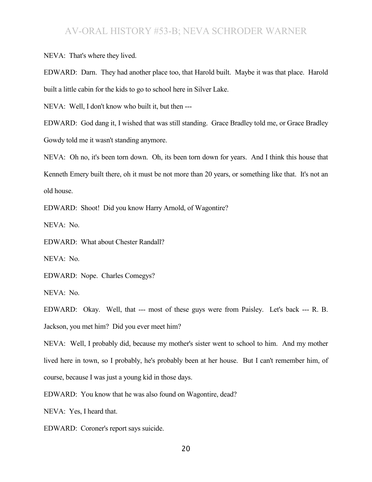NEVA: That's where they lived.

EDWARD: Darn. They had another place too, that Harold built. Maybe it was that place. Harold built a little cabin for the kids to go to school here in Silver Lake.

NEVA: Well, I don't know who built it, but then ---

EDWARD: God dang it, I wished that was still standing. Grace Bradley told me, or Grace Bradley Gowdy told me it wasn't standing anymore.

NEVA: Oh no, it's been torn down. Oh, its been torn down for years. And I think this house that Kenneth Emery built there, oh it must be not more than 20 years, or something like that. It's not an old house.

EDWARD: Shoot! Did you know Harry Arnold, of Wagontire?

NEVA: No.

EDWARD: What about Chester Randall?

NEVA: No.

EDWARD: Nope. Charles Comegys?

NEVA: No.

EDWARD: Okay. Well, that --- most of these guys were from Paisley. Let's back --- R. B. Jackson, you met him? Did you ever meet him?

NEVA: Well, I probably did, because my mother's sister went to school to him. And my mother lived here in town, so I probably, he's probably been at her house. But I can't remember him, of course, because I was just a young kid in those days.

EDWARD: You know that he was also found on Wagontire, dead?

NEVA: Yes, I heard that.

EDWARD: Coroner's report says suicide.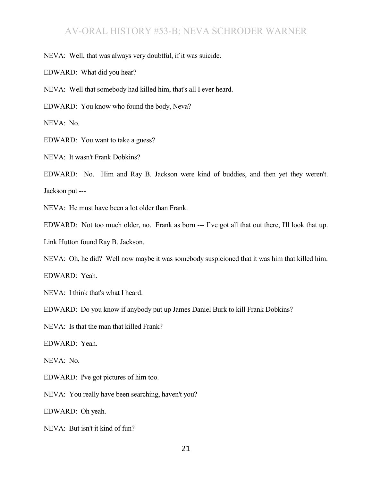NEVA: Well, that was always very doubtful, if it was suicide.

EDWARD: What did you hear?

NEVA: Well that somebody had killed him, that's all I ever heard.

EDWARD: You know who found the body, Neva?

NEVA: No.

EDWARD: You want to take a guess?

NEVA: It wasn't Frank Dobkins?

EDWARD: No. Him and Ray B. Jackson were kind of buddies, and then yet they weren't. Jackson put ---

NEVA: He must have been a lot older than Frank.

EDWARD: Not too much older, no. Frank as born --- I've got all that out there, I'll look that up. Link Hutton found Ray B. Jackson.

NEVA: Oh, he did? Well now maybe it was somebody suspicioned that it was him that killed him.

EDWARD: Yeah.

NEVA: I think that's what I heard.

EDWARD: Do you know if anybody put up James Daniel Burk to kill Frank Dobkins?

NEVA: Is that the man that killed Frank?

EDWARD: Yeah.

NEVA: No.

EDWARD: I've got pictures of him too.

NEVA: You really have been searching, haven't you?

EDWARD: Oh yeah.

NEVA: But isn't it kind of fun?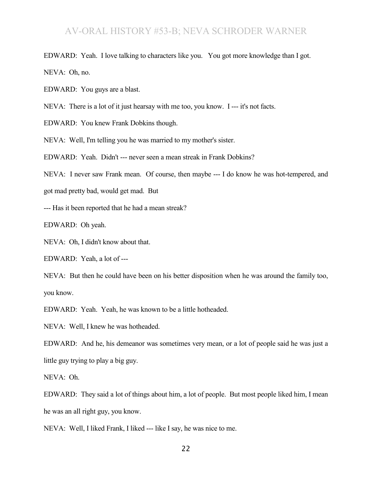EDWARD: Yeah. I love talking to characters like you. You got more knowledge than I got. NEVA: Oh, no.

EDWARD: You guys are a blast.

NEVA: There is a lot of it just hearsay with me too, you know. I --- it's not facts.

EDWARD: You knew Frank Dobkins though.

NEVA: Well, I'm telling you he was married to my mother's sister.

EDWARD: Yeah. Didn't --- never seen a mean streak in Frank Dobkins?

NEVA: I never saw Frank mean. Of course, then maybe --- I do know he was hot-tempered, and

got mad pretty bad, would get mad. But

--- Has it been reported that he had a mean streak?

EDWARD: Oh yeah.

NEVA: Oh, I didn't know about that.

EDWARD: Yeah, a lot of ---

NEVA: But then he could have been on his better disposition when he was around the family too, you know.

EDWARD: Yeah. Yeah, he was known to be a little hotheaded.

NEVA: Well, I knew he was hotheaded.

EDWARD: And he, his demeanor was sometimes very mean, or a lot of people said he was just a little guy trying to play a big guy.

NEVA: Oh.

EDWARD: They said a lot of things about him, a lot of people. But most people liked him, I mean he was an all right guy, you know.

NEVA: Well, I liked Frank, I liked --- like I say, he was nice to me.